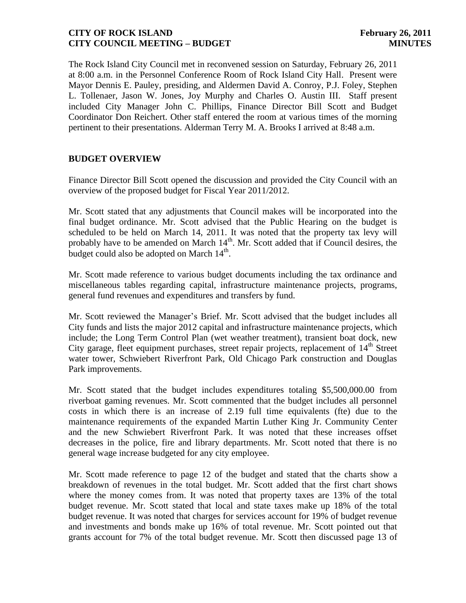The Rock Island City Council met in reconvened session on Saturday, February 26, 2011 at 8:00 a.m. in the Personnel Conference Room of Rock Island City Hall. Present were Mayor Dennis E. Pauley, presiding, and Aldermen David A. Conroy, P.J. Foley, Stephen L. Tollenaer, Jason W. Jones, Joy Murphy and Charles O. Austin III. Staff present included City Manager John C. Phillips, Finance Director Bill Scott and Budget Coordinator Don Reichert. Other staff entered the room at various times of the morning pertinent to their presentations. Alderman Terry M. A. Brooks I arrived at 8:48 a.m.

# **BUDGET OVERVIEW**

Finance Director Bill Scott opened the discussion and provided the City Council with an overview of the proposed budget for Fiscal Year 2011/2012.

Mr. Scott stated that any adjustments that Council makes will be incorporated into the final budget ordinance. Mr. Scott advised that the Public Hearing on the budget is scheduled to be held on March 14, 2011. It was noted that the property tax levy will probably have to be amended on March  $14<sup>th</sup>$ . Mr. Scott added that if Council desires, the budget could also be adopted on March 14<sup>th</sup>.

Mr. Scott made reference to various budget documents including the tax ordinance and miscellaneous tables regarding capital, infrastructure maintenance projects, programs, general fund revenues and expenditures and transfers by fund.

Mr. Scott reviewed the Manager's Brief. Mr. Scott advised that the budget includes all City funds and lists the major 2012 capital and infrastructure maintenance projects, which include; the Long Term Control Plan (wet weather treatment), transient boat dock, new City garage, fleet equipment purchases, street repair projects, replacement of 14<sup>th</sup> Street water tower, Schwiebert Riverfront Park, Old Chicago Park construction and Douglas Park improvements.

Mr. Scott stated that the budget includes expenditures totaling \$5,500,000.00 from riverboat gaming revenues. Mr. Scott commented that the budget includes all personnel costs in which there is an increase of 2.19 full time equivalents (fte) due to the maintenance requirements of the expanded Martin Luther King Jr. Community Center and the new Schwiebert Riverfront Park. It was noted that these increases offset decreases in the police, fire and library departments. Mr. Scott noted that there is no general wage increase budgeted for any city employee.

Mr. Scott made reference to page 12 of the budget and stated that the charts show a breakdown of revenues in the total budget. Mr. Scott added that the first chart shows where the money comes from. It was noted that property taxes are 13% of the total budget revenue. Mr. Scott stated that local and state taxes make up 18% of the total budget revenue. It was noted that charges for services account for 19% of budget revenue and investments and bonds make up 16% of total revenue. Mr. Scott pointed out that grants account for 7% of the total budget revenue. Mr. Scott then discussed page 13 of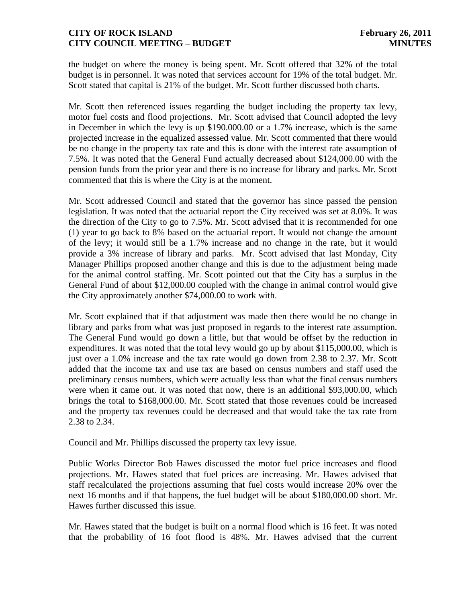the budget on where the money is being spent. Mr. Scott offered that 32% of the total budget is in personnel. It was noted that services account for 19% of the total budget. Mr. Scott stated that capital is 21% of the budget. Mr. Scott further discussed both charts.

Mr. Scott then referenced issues regarding the budget including the property tax levy, motor fuel costs and flood projections. Mr. Scott advised that Council adopted the levy in December in which the levy is up \$190.000.00 or a 1.7% increase, which is the same projected increase in the equalized assessed value. Mr. Scott commented that there would be no change in the property tax rate and this is done with the interest rate assumption of 7.5%. It was noted that the General Fund actually decreased about \$124,000.00 with the pension funds from the prior year and there is no increase for library and parks. Mr. Scott commented that this is where the City is at the moment.

Mr. Scott addressed Council and stated that the governor has since passed the pension legislation. It was noted that the actuarial report the City received was set at 8.0%. It was the direction of the City to go to 7.5%. Mr. Scott advised that it is recommended for one (1) year to go back to 8% based on the actuarial report. It would not change the amount of the levy; it would still be a 1.7% increase and no change in the rate, but it would provide a 3% increase of library and parks. Mr. Scott advised that last Monday, City Manager Phillips proposed another change and this is due to the adjustment being made for the animal control staffing. Mr. Scott pointed out that the City has a surplus in the General Fund of about \$12,000.00 coupled with the change in animal control would give the City approximately another \$74,000.00 to work with.

Mr. Scott explained that if that adjustment was made then there would be no change in library and parks from what was just proposed in regards to the interest rate assumption. The General Fund would go down a little, but that would be offset by the reduction in expenditures. It was noted that the total levy would go up by about \$115,000.00, which is just over a 1.0% increase and the tax rate would go down from 2.38 to 2.37. Mr. Scott added that the income tax and use tax are based on census numbers and staff used the preliminary census numbers, which were actually less than what the final census numbers were when it came out. It was noted that now, there is an additional \$93,000.00, which brings the total to \$168,000.00. Mr. Scott stated that those revenues could be increased and the property tax revenues could be decreased and that would take the tax rate from 2.38 to 2.34.

Council and Mr. Phillips discussed the property tax levy issue.

Public Works Director Bob Hawes discussed the motor fuel price increases and flood projections. Mr. Hawes stated that fuel prices are increasing. Mr. Hawes advised that staff recalculated the projections assuming that fuel costs would increase 20% over the next 16 months and if that happens, the fuel budget will be about \$180,000.00 short. Mr. Hawes further discussed this issue.

Mr. Hawes stated that the budget is built on a normal flood which is 16 feet. It was noted that the probability of 16 foot flood is 48%. Mr. Hawes advised that the current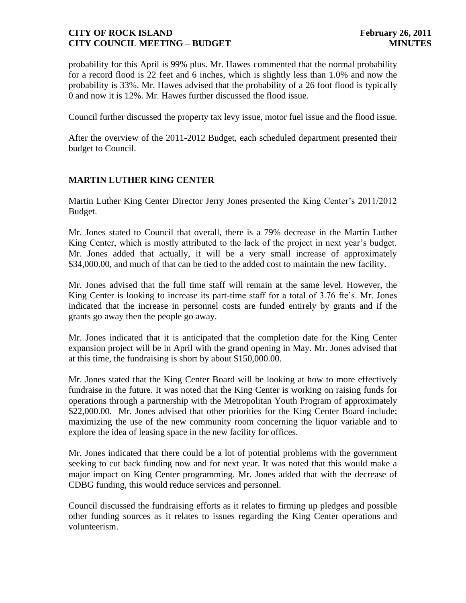probability for this April is 99% plus. Mr. Hawes commented that the normal probability for a record flood is 22 feet and 6 inches, which is slightly less than 1.0% and now the probability is 33%. Mr. Hawes advised that the probability of a 26 foot flood is typically 0 and now it is 12%. Mr. Hawes further discussed the flood issue.

Council further discussed the property tax levy issue, motor fuel issue and the flood issue.

After the overview of the 2011-2012 Budget, each scheduled department presented their budget to Council.

# **MARTIN LUTHER KING CENTER**

Martin Luther King Center Director Jerry Jones presented the King Center's 2011/2012 Budget.

Mr. Jones stated to Council that overall, there is a 79% decrease in the Martin Luther King Center, which is mostly attributed to the lack of the project in next year's budget. Mr. Jones added that actually, it will be a very small increase of approximately \$34,000.00, and much of that can be tied to the added cost to maintain the new facility.

Mr. Jones advised that the full time staff will remain at the same level. However, the King Center is looking to increase its part-time staff for a total of 3.76 fte's. Mr. Jones indicated that the increase in personnel costs are funded entirely by grants and if the grants go away then the people go away.

Mr. Jones indicated that it is anticipated that the completion date for the King Center expansion project will be in April with the grand opening in May. Mr. Jones advised that at this time, the fundraising is short by about \$150,000.00.

Mr. Jones stated that the King Center Board will be looking at how to more effectively fundraise in the future. It was noted that the King Center is working on raising funds for operations through a partnership with the Metropolitan Youth Program of approximately \$22,000.00. Mr. Jones advised that other priorities for the King Center Board include; maximizing the use of the new community room concerning the liquor variable and to explore the idea of leasing space in the new facility for offices.

Mr. Jones indicated that there could be a lot of potential problems with the government seeking to cut back funding now and for next year. It was noted that this would make a major impact on King Center programming. Mr. Jones added that with the decrease of CDBG funding, this would reduce services and personnel.

Council discussed the fundraising efforts as it relates to firming up pledges and possible other funding sources as it relates to issues regarding the King Center operations and volunteerism.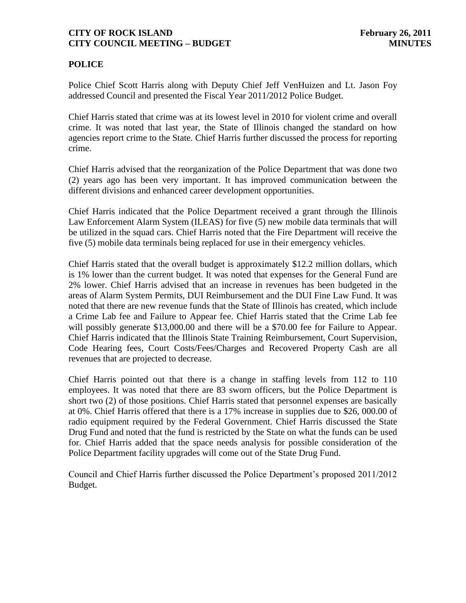### **POLICE**

Police Chief Scott Harris along with Deputy Chief Jeff VenHuizen and Lt. Jason Foy addressed Council and presented the Fiscal Year 2011/2012 Police Budget.

Chief Harris stated that crime was at its lowest level in 2010 for violent crime and overall crime. It was noted that last year, the State of Illinois changed the standard on how agencies report crime to the State. Chief Harris further discussed the process for reporting crime.

Chief Harris advised that the reorganization of the Police Department that was done two (2) years ago has been very important. It has improved communication between the different divisions and enhanced career development opportunities.

Chief Harris indicated that the Police Department received a grant through the Illinois Law Enforcement Alarm System (ILEAS) for five (5) new mobile data terminals that will be utilized in the squad cars. Chief Harris noted that the Fire Department will receive the five (5) mobile data terminals being replaced for use in their emergency vehicles.

Chief Harris stated that the overall budget is approximately \$12.2 million dollars, which is 1% lower than the current budget. It was noted that expenses for the General Fund are 2% lower. Chief Harris advised that an increase in revenues has been budgeted in the areas of Alarm System Permits, DUI Reimbursement and the DUI Fine Law Fund. It was noted that there are new revenue funds that the State of Illinois has created, which include a Crime Lab fee and Failure to Appear fee. Chief Harris stated that the Crime Lab fee will possibly generate \$13,000.00 and there will be a \$70.00 fee for Failure to Appear. Chief Harris indicated that the Illinois State Training Reimbursement, Court Supervision, Code Hearing fees, Court Costs/Fees/Charges and Recovered Property Cash are all revenues that are projected to decrease.

Chief Harris pointed out that there is a change in staffing levels from 112 to 110 employees. It was noted that there are 83 sworn officers, but the Police Department is short two (2) of those positions. Chief Harris stated that personnel expenses are basically at 0%. Chief Harris offered that there is a 17% increase in supplies due to \$26, 000.00 of radio equipment required by the Federal Government. Chief Harris discussed the State Drug Fund and noted that the fund is restricted by the State on what the funds can be used for. Chief Harris added that the space needs analysis for possible consideration of the Police Department facility upgrades will come out of the State Drug Fund.

Council and Chief Harris further discussed the Police Department's proposed 2011/2012 Budget.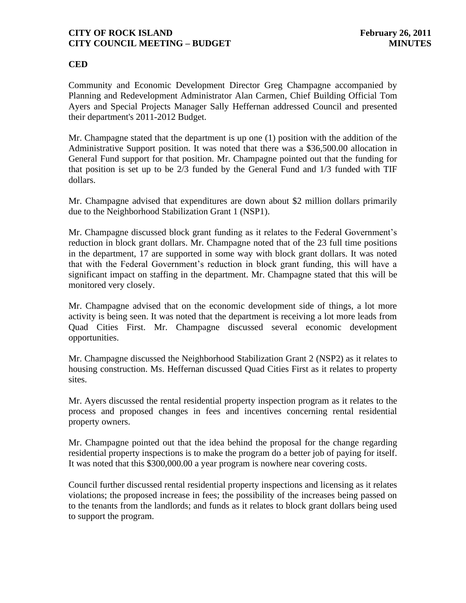#### **CED**

Community and Economic Development Director Greg Champagne accompanied by Planning and Redevelopment Administrator Alan Carmen, Chief Building Official Tom Ayers and Special Projects Manager Sally Heffernan addressed Council and presented their department's 2011-2012 Budget.

Mr. Champagne stated that the department is up one (1) position with the addition of the Administrative Support position. It was noted that there was a \$36,500.00 allocation in General Fund support for that position. Mr. Champagne pointed out that the funding for that position is set up to be 2/3 funded by the General Fund and 1/3 funded with TIF dollars.

Mr. Champagne advised that expenditures are down about \$2 million dollars primarily due to the Neighborhood Stabilization Grant 1 (NSP1).

Mr. Champagne discussed block grant funding as it relates to the Federal Government's reduction in block grant dollars. Mr. Champagne noted that of the 23 full time positions in the department, 17 are supported in some way with block grant dollars. It was noted that with the Federal Government's reduction in block grant funding, this will have a significant impact on staffing in the department. Mr. Champagne stated that this will be monitored very closely.

Mr. Champagne advised that on the economic development side of things, a lot more activity is being seen. It was noted that the department is receiving a lot more leads from Quad Cities First. Mr. Champagne discussed several economic development opportunities.

Mr. Champagne discussed the Neighborhood Stabilization Grant 2 (NSP2) as it relates to housing construction. Ms. Heffernan discussed Quad Cities First as it relates to property sites.

Mr. Ayers discussed the rental residential property inspection program as it relates to the process and proposed changes in fees and incentives concerning rental residential property owners.

Mr. Champagne pointed out that the idea behind the proposal for the change regarding residential property inspections is to make the program do a better job of paying for itself. It was noted that this \$300,000.00 a year program is nowhere near covering costs.

Council further discussed rental residential property inspections and licensing as it relates violations; the proposed increase in fees; the possibility of the increases being passed on to the tenants from the landlords; and funds as it relates to block grant dollars being used to support the program.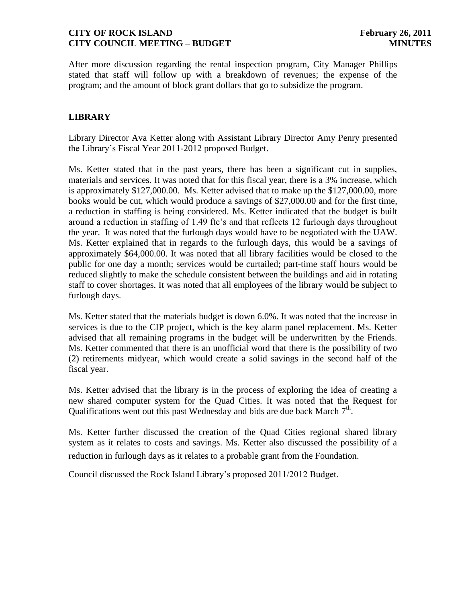After more discussion regarding the rental inspection program, City Manager Phillips stated that staff will follow up with a breakdown of revenues; the expense of the program; and the amount of block grant dollars that go to subsidize the program.

# **LIBRARY**

Library Director Ava Ketter along with Assistant Library Director Amy Penry presented the Library's Fiscal Year 2011-2012 proposed Budget.

Ms. Ketter stated that in the past years, there has been a significant cut in supplies, materials and services. It was noted that for this fiscal year, there is a 3% increase, which is approximately \$127,000.00. Ms. Ketter advised that to make up the \$127,000.00, more books would be cut, which would produce a savings of \$27,000.00 and for the first time, a reduction in staffing is being considered. Ms. Ketter indicated that the budget is built around a reduction in staffing of 1.49 fte's and that reflects 12 furlough days throughout the year. It was noted that the furlough days would have to be negotiated with the UAW. Ms. Ketter explained that in regards to the furlough days, this would be a savings of approximately \$64,000.00. It was noted that all library facilities would be closed to the public for one day a month; services would be curtailed; part-time staff hours would be reduced slightly to make the schedule consistent between the buildings and aid in rotating staff to cover shortages. It was noted that all employees of the library would be subject to furlough days.

Ms. Ketter stated that the materials budget is down 6.0%. It was noted that the increase in services is due to the CIP project, which is the key alarm panel replacement. Ms. Ketter advised that all remaining programs in the budget will be underwritten by the Friends. Ms. Ketter commented that there is an unofficial word that there is the possibility of two (2) retirements midyear, which would create a solid savings in the second half of the fiscal year.

Ms. Ketter advised that the library is in the process of exploring the idea of creating a new shared computer system for the Quad Cities. It was noted that the Request for Qualifications went out this past Wednesday and bids are due back March  $7<sup>th</sup>$ .

Ms. Ketter further discussed the creation of the Quad Cities regional shared library system as it relates to costs and savings. Ms. Ketter also discussed the possibility of a reduction in furlough days as it relates to a probable grant from the Foundation.

Council discussed the Rock Island Library's proposed 2011/2012 Budget.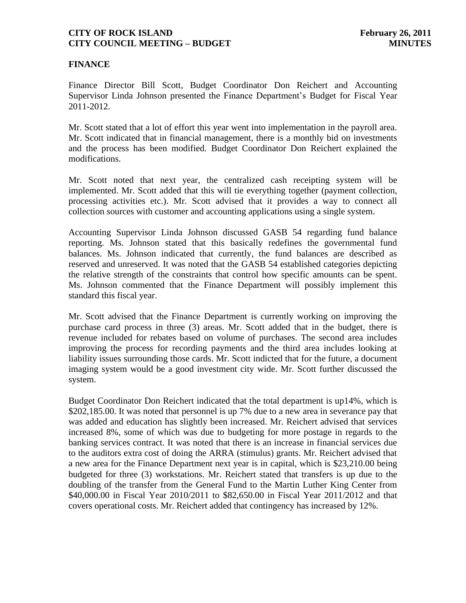#### **FINANCE**

Finance Director Bill Scott, Budget Coordinator Don Reichert and Accounting Supervisor Linda Johnson presented the Finance Department's Budget for Fiscal Year 2011-2012.

Mr. Scott stated that a lot of effort this year went into implementation in the payroll area. Mr. Scott indicated that in financial management, there is a monthly bid on investments and the process has been modified. Budget Coordinator Don Reichert explained the modifications.

Mr. Scott noted that next year, the centralized cash receipting system will be implemented. Mr. Scott added that this will tie everything together (payment collection, processing activities etc.). Mr. Scott advised that it provides a way to connect all collection sources with customer and accounting applications using a single system.

Accounting Supervisor Linda Johnson discussed GASB 54 regarding fund balance reporting. Ms. Johnson stated that this basically redefines the governmental fund balances. Ms. Johnson indicated that currently, the fund balances are described as reserved and unreserved. It was noted that the GASB 54 established categories depicting the relative strength of the constraints that control how specific amounts can be spent. Ms. Johnson commented that the Finance Department will possibly implement this standard this fiscal year.

Mr. Scott advised that the Finance Department is currently working on improving the purchase card process in three (3) areas. Mr. Scott added that in the budget, there is revenue included for rebates based on volume of purchases. The second area includes improving the process for recording payments and the third area includes looking at liability issues surrounding those cards. Mr. Scott indicted that for the future, a document imaging system would be a good investment city wide. Mr. Scott further discussed the system.

Budget Coordinator Don Reichert indicated that the total department is up14%, which is \$202,185.00. It was noted that personnel is up 7% due to a new area in severance pay that was added and education has slightly been increased. Mr. Reichert advised that services increased 8%, some of which was due to budgeting for more postage in regards to the banking services contract. It was noted that there is an increase in financial services due to the auditors extra cost of doing the ARRA (stimulus) grants. Mr. Reichert advised that a new area for the Finance Department next year is in capital, which is \$23,210.00 being budgeted for three (3) workstations. Mr. Reichert stated that transfers is up due to the doubling of the transfer from the General Fund to the Martin Luther King Center from \$40,000.00 in Fiscal Year 2010/2011 to \$82,650.00 in Fiscal Year 2011/2012 and that covers operational costs. Mr. Reichert added that contingency has increased by 12%.